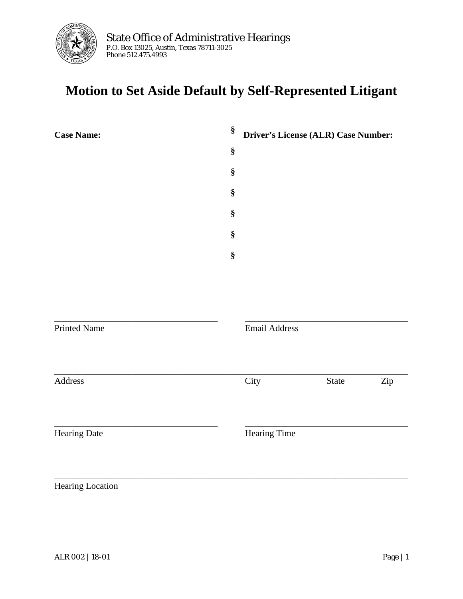

## **Motion to Set Aside Default by Self-Represented Litigant**

| <b>Case Name:</b>   | §    | Driver's License (ALR) Case Number: |
|---------------------|------|-------------------------------------|
|                     | $\S$ |                                     |
|                     | §    |                                     |
|                     | $\S$ |                                     |
|                     | §    |                                     |
|                     | §    |                                     |
|                     | $\S$ |                                     |
|                     |      |                                     |
|                     |      |                                     |
| <b>Printed Name</b> |      | <b>Email Address</b>                |
| Address             |      | City<br>State<br>Zip                |
| <b>Hearing Date</b> |      | Hearing Time                        |
|                     |      |                                     |

Hearing Location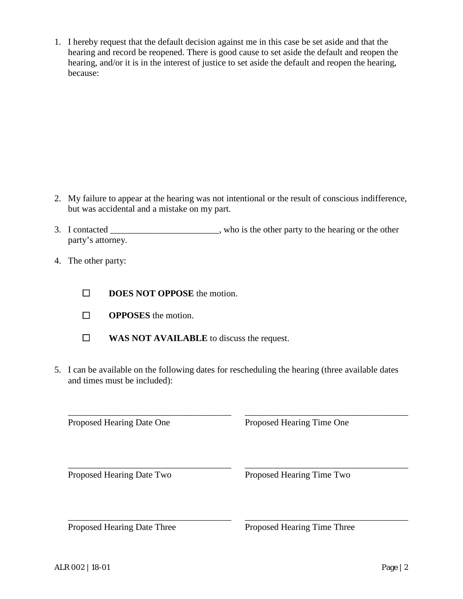1. I hereby request that the default decision against me in this case be set aside and that the hearing and record be reopened. There is good cause to set aside the default and reopen the hearing, and/or it is in the interest of justice to set aside the default and reopen the hearing, because:

- 2. My failure to appear at the hearing was not intentional or the result of conscious indifference, but was accidental and a mistake on my part.
- 3. I contacted \_\_\_\_\_\_\_\_\_\_\_\_\_\_\_\_\_\_\_\_\_\_\_\_, who is the other party to the hearing or the other party's attorney.
- 4. The other party:
	- ☐ **DOES NOT OPPOSE** the motion.
	- ☐ **OPPOSES** the motion.
	- ☐ **WAS NOT AVAILABLE** to discuss the request.
- 5. I can be available on the following dates for rescheduling the hearing (three available dates and times must be included):

\_\_\_\_\_\_\_\_\_\_\_\_\_\_\_\_\_\_\_\_\_\_\_\_\_\_\_\_\_\_\_\_\_\_\_\_ \_\_\_\_\_\_\_\_\_\_\_\_\_\_\_\_\_\_\_\_\_\_\_\_\_\_\_\_\_\_\_\_\_\_\_\_

Proposed Hearing Date One Proposed Hearing Time One

\_\_\_\_\_\_\_\_\_\_\_\_\_\_\_\_\_\_\_\_\_\_\_\_\_\_\_\_\_\_\_\_\_\_\_\_ \_\_\_\_\_\_\_\_\_\_\_\_\_\_\_\_\_\_\_\_\_\_\_\_\_\_\_\_\_\_\_\_\_\_\_\_ Proposed Hearing Date Two Proposed Hearing Time Two

\_\_\_\_\_\_\_\_\_\_\_\_\_\_\_\_\_\_\_\_\_\_\_\_\_\_\_\_\_\_\_\_\_\_\_\_ \_\_\_\_\_\_\_\_\_\_\_\_\_\_\_\_\_\_\_\_\_\_\_\_\_\_\_\_\_\_\_\_\_\_\_\_

Proposed Hearing Date Three Proposed Hearing Time Three